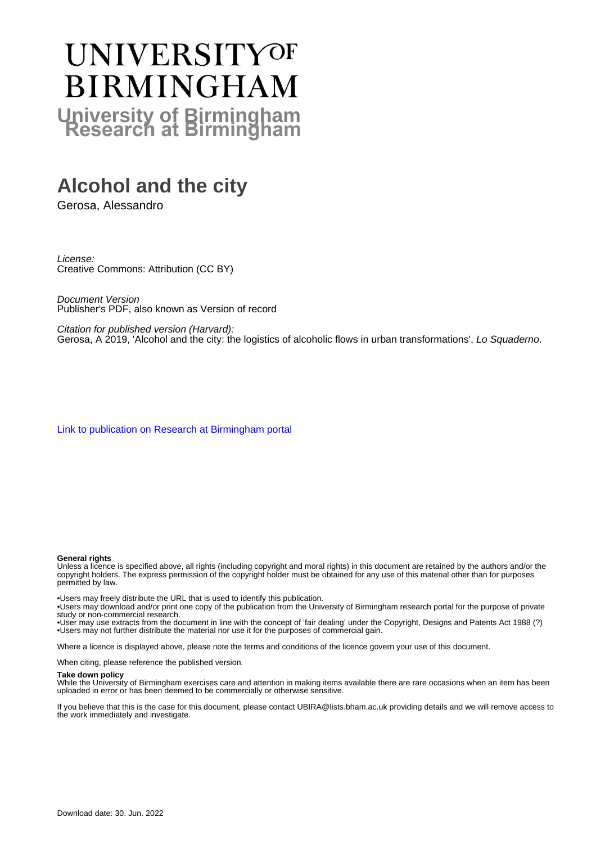# **UNIVERSITYOF BIRMINGHAM University of Birmingham**

# **Alcohol and the city**

Gerosa, Alessandro

License: Creative Commons: Attribution (CC BY)

Document Version Publisher's PDF, also known as Version of record

Citation for published version (Harvard): Gerosa, A 2019, 'Alcohol and the city: the logistics of alcoholic flows in urban transformations', Lo Squaderno.

[Link to publication on Research at Birmingham portal](https://birmingham.elsevierpure.com/en/publications/635bc4af-a6e7-47fd-9438-4ee8b50c6812)

#### **General rights**

Unless a licence is specified above, all rights (including copyright and moral rights) in this document are retained by the authors and/or the copyright holders. The express permission of the copyright holder must be obtained for any use of this material other than for purposes permitted by law.

• Users may freely distribute the URL that is used to identify this publication.

• Users may download and/or print one copy of the publication from the University of Birmingham research portal for the purpose of private study or non-commercial research.

• User may use extracts from the document in line with the concept of 'fair dealing' under the Copyright, Designs and Patents Act 1988 (?) • Users may not further distribute the material nor use it for the purposes of commercial gain.

Where a licence is displayed above, please note the terms and conditions of the licence govern your use of this document.

When citing, please reference the published version.

#### **Take down policy**

While the University of Birmingham exercises care and attention in making items available there are rare occasions when an item has been uploaded in error or has been deemed to be commercially or otherwise sensitive.

If you believe that this is the case for this document, please contact UBIRA@lists.bham.ac.uk providing details and we will remove access to the work immediately and investigate.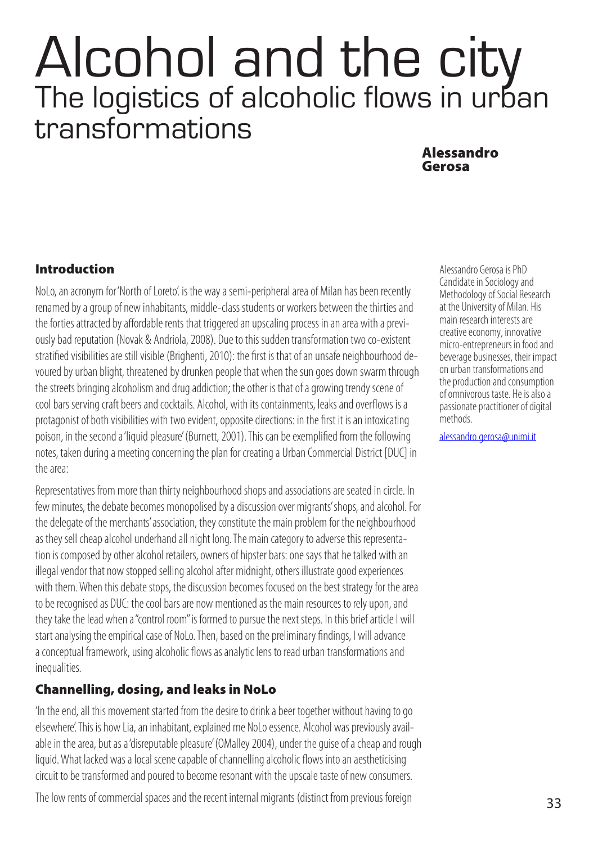# Alcohol and the city The logistics of alcoholic flows in urban transformations

### Alessandro Gerosa

#### Introduction

NoLo, an acronym for 'North of Loreto'. is the way a semi-peripheral area of Milan has been recently renamed by a group of new inhabitants, middle-class students or workers between the thirties and the forties attracted by affordable rents that triggered an upscaling process in an area with a previously bad reputation (Novak & Andriola, 2008). Due to this sudden transformation two co-existent stratified visibilities are still visible (Brighenti, 2010): the first is that of an unsafe neighbourhood devoured by urban blight, threatened by drunken people that when the sun goes down swarm through the streets bringing alcoholism and drug addiction; the other is that of a growing trendy scene of cool bars serving craft beers and cocktails. Alcohol, with its containments, leaks and overflows is a protagonist of both visibilities with two evident, opposite directions: in the first it is an intoxicating poison, in the second a 'liquid pleasure' (Burnett, 2001). This can be exemplified from the following notes, taken during a meeting concerning the plan for creating a Urban Commercial District [DUC] in the area:

Representatives from more than thirty neighbourhood shops and associations are seated in circle. In few minutes, the debate becomes monopolised by a discussion over migrants' shops, and alcohol. For the delegate of the merchants' association, they constitute the main problem for the neighbourhood as they sell cheap alcohol underhand all night long. The main category to adverse this representation is composed by other alcohol retailers, owners of hipster bars: one says that he talked with an illegal vendor that now stopped selling alcohol after midnight, others illustrate good experiences with them. When this debate stops, the discussion becomes focused on the best strategy for the area to be recognised as DUC: the cool bars are now mentioned as the main resources to rely upon, and they take the lead when a "control room" is formed to pursue the next steps. In this brief article I will start analysing the empirical case of NoLo. Then, based on the preliminary findings, I will advance a conceptual framework, using alcoholic flows as analytic lens to read urban transformations and inequalities.

## Channelling, dosing, and leaks in NoLo

'In the end, all this movement started from the desire to drink a beer together without having to go elsewhere'. This is how Lia, an inhabitant, explained me NoLo essence. Alcohol was previously available in the area, but as a 'disreputable pleasure' (OMalley 2004), under the guise of a cheap and rough liquid. What lacked was a local scene capable of channelling alcoholic flows into an aestheticising circuit to be transformed and poured to become resonant with the upscale taste of new consumers.

The low rents of commercial spaces and the recent internal migrants (distinct from previous foreign

Alessandro Gerosa is PhD Candidate in Sociology and Methodology of Social Research at the University of Milan. His main research interests are creative economy, innovative micro-entrepreneurs in food and beverage businesses, their impact on urban transformations and the production and consumption of omnivorous taste. He is also a passionate practitioner of digital methods.

[alessandro.gerosa@unimi.it](mailto:alessandro.gerosa@unimi.it)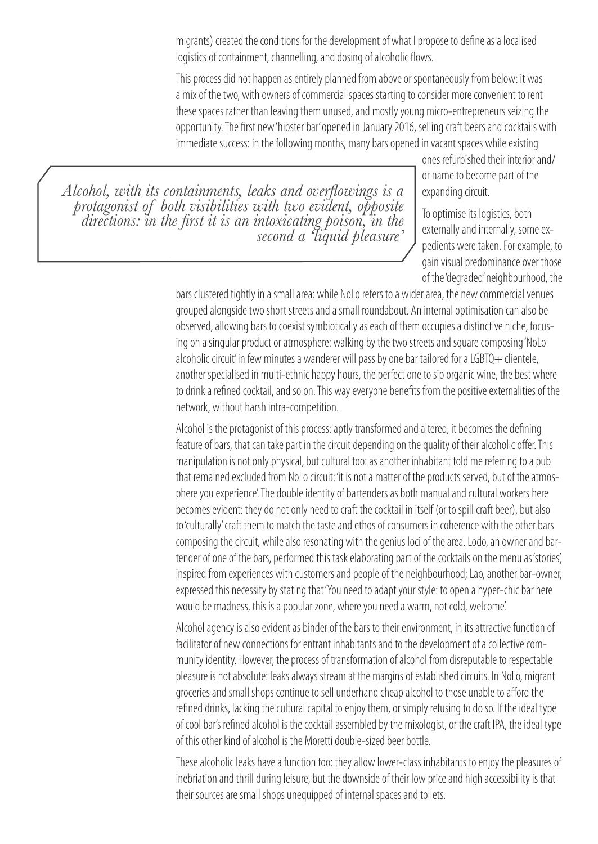migrants) created the conditions for the development of what I propose to define as a localised logistics of containment, channelling, and dosing of alcoholic flows.

This process did not happen as entirely planned from above or spontaneously from below: it was a mix of the two, with owners of commercial spaces starting to consider more convenient to rent these spaces rather than leaving them unused, and mostly young micro-entrepreneurs seizing the opportunity. The first new 'hipster bar' opened in January 2016, selling craft beers and cocktails with immediate success: in the following months, many bars opened in vacant spaces while existing

*Alcohol, with its containments, leaks and overflowings is a protagonist of both visibilities with two evident, opposite directions: in the first it is an intoxicating poison, in the second a 'liquid pleasure'*

ones refurbished their interior and/ or name to become part of the expanding circuit.

To optimise its logistics, both externally and internally, some expedients were taken. For example, to gain visual predominance over those of the 'degraded' neighbourhood, the

bars clustered tightly in a small area: while NoLo refers to a wider area, the new commercial venues grouped alongside two short streets and a small roundabout. An internal optimisation can also be observed, allowing bars to coexist symbiotically as each of them occupies a distinctive niche, focusing on a singular product or atmosphere: walking by the two streets and square composing 'NoLo alcoholic circuit' in few minutes a wanderer will pass by one bar tailored for a LGBTO+ clientele, another specialised in multi-ethnic happy hours, the perfect one to sip organic wine, the best where to drink a refined cocktail, and so on. This way everyone benefits from the positive externalities of the network, without harsh intra-competition.

Alcohol is the protagonist of this process: aptly transformed and altered, it becomes the defining feature of bars, that can take part in the circuit depending on the quality of their alcoholic offer. This manipulation is not only physical, but cultural too: as another inhabitant told me referring to a pub that remained excluded from NoLo circuit: 'it is not a matter of the products served, but of the atmosphere you experience'. The double identity of bartenders as both manual and cultural workers here becomes evident: they do not only need to craft the cocktail in itself (or to spill craft beer), but also to 'culturally' craft them to match the taste and ethos of consumers in coherence with the other bars composing the circuit, while also resonating with the genius loci of the area. Lodo, an owner and bartender of one of the bars, performed this task elaborating part of the cocktails on the menu as 'stories', inspired from experiences with customers and people of the neighbourhood; Lao, another bar-owner, expressed this necessity by stating that 'You need to adapt your style: to open a hyper-chic bar here would be madness, this is a popular zone, where you need a warm, not cold, welcome'.

Alcohol agency is also evident as binder of the bars to their environment, in its attractive function of facilitator of new connections for entrant inhabitants and to the development of a collective community identity. However, the process of transformation of alcohol from disreputable to respectable pleasure is not absolute: leaks always stream at the margins of established circuits. In NoLo, migrant groceries and small shops continue to sell underhand cheap alcohol to those unable to afford the refined drinks, lacking the cultural capital to enjoy them, or simply refusing to do so. If the ideal type of cool bar's refined alcohol is the cocktail assembled by the mixologist, or the craft IPA, the ideal type of this other kind of alcohol is the Moretti double-sized beer bottle.

These alcoholic leaks have a function too: they allow lower-class inhabitants to enjoy the pleasures of inebriation and thrill during leisure, but the downside of their low price and high accessibility is that their sources are small shops unequipped of internal spaces and toilets.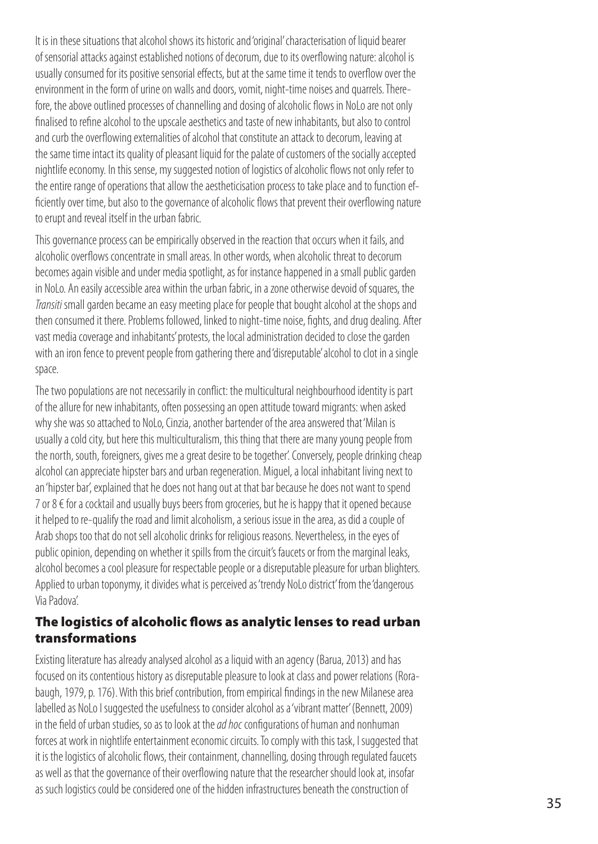It is in these situations that alcohol shows its historic and 'original' characterisation of liquid bearer of sensorial attacks against established notions of decorum, due to its overflowing nature: alcohol is usually consumed for its positive sensorial effects, but at the same time it tends to overflow over the environment in the form of urine on walls and doors, vomit, night-time noises and quarrels. Therefore, the above outlined processes of channelling and dosing of alcoholic flows in NoLo are not only finalised to refine alcohol to the upscale aesthetics and taste of new inhabitants, but also to control and curb the overflowing externalities of alcohol that constitute an attack to decorum, leaving at the same time intact its quality of pleasant liquid for the palate of customers of the socially accepted nightlife economy. In this sense, my suggested notion of logistics of alcoholic flows not only refer to the entire range of operations that allow the aestheticisation process to take place and to function efficiently over time, but also to the governance of alcoholic flows that prevent their overflowing nature to erupt and reveal itself in the urban fabric.

This governance process can be empirically observed in the reaction that occurs when it fails, and alcoholic overflows concentrate in small areas. In other words, when alcoholic threat to decorum becomes again visible and under media spotlight, as for instance happened in a small public garden in NoLo. An easily accessible area within the urban fabric, in a zone otherwise devoid of squares, the *Transiti* small garden became an easy meeting place for people that bought alcohol at the shops and then consumed it there. Problems followed, linked to night-time noise, fights, and drug dealing. After vast media coverage and inhabitants' protests, the local administration decided to close the garden with an iron fence to prevent people from gathering there and 'disreputable' alcohol to clot in a single space.

The two populations are not necessarily in conflict: the multicultural neighbourhood identity is part of the allure for new inhabitants, often possessing an open attitude toward migrants: when asked why she was so attached to NoLo, Cinzia, another bartender of the area answered that 'Milan is usually a cold city, but here this multiculturalism, this thing that there are many young people from the north, south, foreigners, gives me a great desire to be together'. Conversely, people drinking cheap alcohol can appreciate hipster bars and urban regeneration. Miguel, a local inhabitant living next to an 'hipster bar', explained that he does not hang out at that bar because he does not want to spend 7 or  $8 \in$  for a cocktail and usually buys beers from groceries, but he is happy that it opened because it helped to re-qualify the road and limit alcoholism, a serious issue in the area, as did a couple of Arab shops too that do not sell alcoholic drinks for religious reasons. Nevertheless, in the eyes of public opinion, depending on whether it spills from the circuit's faucets or from the marginal leaks, alcohol becomes a cool pleasure for respectable people or a disreputable pleasure for urban blighters. Applied to urban toponymy, it divides what is perceived as 'trendy NoLo district' from the 'dangerous Via Padova'.

### The logistics of alcoholic flows as analytic lenses to read urban transformations

Existing literature has already analysed alcohol as a liquid with an agency (Barua, 2013) and has focused on its contentious history as disreputable pleasure to look at class and power relations (Rorabaugh, 1979, p. 176). With this brief contribution, from empirical findings in the new Milanese area labelled as NoLo I suggested the usefulness to consider alcohol as a 'vibrant matter' (Bennett, 2009) in the field of urban studies, so as to look at the *ad hoc* configurations of human and nonhuman forces at work in nightlife entertainment economic circuits. To comply with this task, I suggested that it is the logistics of alcoholic flows, their containment, channelling, dosing through regulated faucets as well as that the governance of their overflowing nature that the researcher should look at, insofar as such logistics could be considered one of the hidden infrastructures beneath the construction of